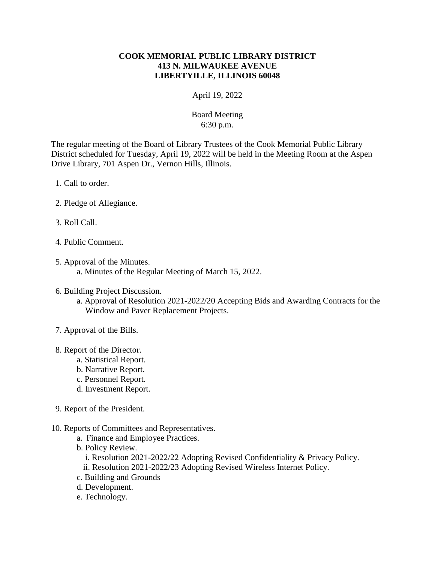## **COOK MEMORIAL PUBLIC LIBRARY DISTRICT 413 N. MILWAUKEE AVENUE LIBERTYILLE, ILLINOIS 60048**

April 19, 2022

## Board Meeting 6:30 p.m.

The regular meeting of the Board of Library Trustees of the Cook Memorial Public Library District scheduled for Tuesday, April 19, 2022 will be held in the Meeting Room at the Aspen Drive Library, 701 Aspen Dr., Vernon Hills, Illinois.

- 1. Call to order.
- 2. Pledge of Allegiance.
- 3. Roll Call.
- 4. Public Comment.
- 5. Approval of the Minutes. a. Minutes of the Regular Meeting of March 15, 2022.
- 6. Building Project Discussion.
	- a. Approval of Resolution 2021-2022/20 Accepting Bids and Awarding Contracts for the Window and Paver Replacement Projects.
- 7. Approval of the Bills.
- 8. Report of the Director.
	- a. Statistical Report.
	- b. Narrative Report.
	- c. Personnel Report.
	- d. Investment Report.
- 9. Report of the President.
- 10. Reports of Committees and Representatives.
	- a. Finance and Employee Practices.
	- b. Policy Review.
		- i. Resolution 2021-2022/22 Adopting Revised Confidentiality & Privacy Policy.
		- ii. Resolution 2021-2022/23 Adopting Revised Wireless Internet Policy.
	- c. Building and Grounds
	- d. Development.
	- e. Technology.